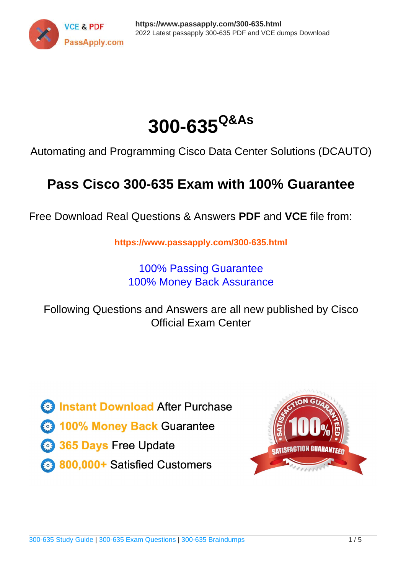



Automating and Programming Cisco Data Center Solutions (DCAUTO)

# **Pass Cisco 300-635 Exam with 100% Guarantee**

Free Download Real Questions & Answers **PDF** and **VCE** file from:

**https://www.passapply.com/300-635.html**

100% Passing Guarantee 100% Money Back Assurance

Following Questions and Answers are all new published by Cisco Official Exam Center

**C** Instant Download After Purchase

**83 100% Money Back Guarantee** 

- 365 Days Free Update
- 800,000+ Satisfied Customers

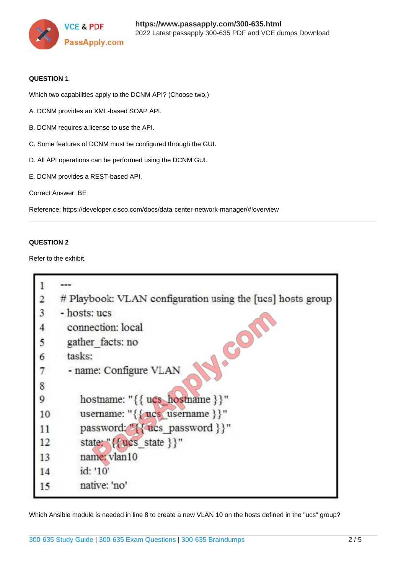

### **QUESTION 1**

Which two capabilities apply to the DCNM API? (Choose two.)

- A. DCNM provides an XML-based SOAP API.
- B. DCNM requires a license to use the API.
- C. Some features of DCNM must be configured through the GUI.
- D. All API operations can be performed using the DCNM GUI.
- E. DCNM provides a REST-based API.

Correct Answer: BE

Reference: https://developer.cisco.com/docs/data-center-network-manager/#!overview

### **QUESTION 2**

Refer to the exhibit.

| $\overline{\mathbf{2}}$ | # Playbook: VLAN configuration using the [ucs] hosts group |
|-------------------------|------------------------------------------------------------|
| 3                       | - hosts: ucs                                               |
|                         | connection: local                                          |
| 5                       | gather facts: no                                           |
| 6                       | tasks:                                                     |
| 7                       | - name: Configure VLAN                                     |
| 8                       |                                                            |
| 9                       | hostname: "{{ ucs_hostname }}"                             |
| 10                      | username: "{ { ucs username } }"                           |
| 11                      | password: "{{ ucs password }}"                             |
| 12                      | state: {{ucs state}}"                                      |
| 13                      | name: vlan10                                               |
| 14                      | id: '10'                                                   |
| 15                      | native: 'no'                                               |

Which Ansible module is needed in line 8 to create a new VLAN 10 on the hosts defined in the "ucs" group?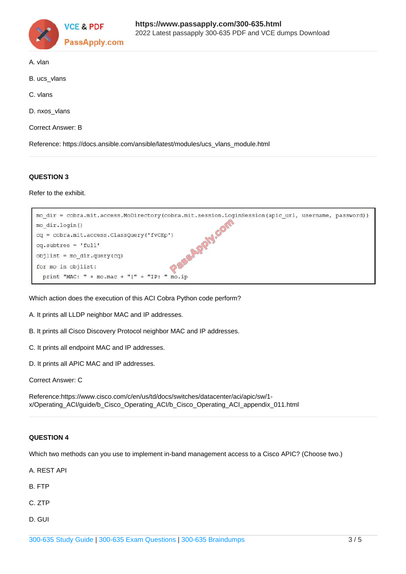

- A. vlan
- B. ucs\_vlans
- C. vlans
- D. nxos\_vlans
- Correct Answer: B

Reference: https://docs.ansible.com/ansible/latest/modules/ucs\_vlans\_module.html

### **QUESTION 3**

Refer to the exhibit.

| mo dir = cobra.mit.access.MoDirectory(cobra.mit.session.LoginSession(apic url, username, password)) |  |
|-----------------------------------------------------------------------------------------------------|--|
| mo dir.login()                                                                                      |  |
| cq = cobra.mit.access.ClassQuery('fvCEp')                                                           |  |
| $cq.subtree = 'full'$                                                                               |  |
| $objlist = mo dir.query(cq)$                                                                        |  |
| for mo in objlist:                                                                                  |  |
| print "MAC: " + mo.mac + " " + "IP: " mo.ip                                                         |  |

Which action does the execution of this ACI Cobra Python code perform?

- A. It prints all LLDP neighbor MAC and IP addresses.
- B. It prints all Cisco Discovery Protocol neighbor MAC and IP addresses.
- C. It prints all endpoint MAC and IP addresses.
- D. It prints all APIC MAC and IP addresses.

Correct Answer: C

Reference:https://www.cisco.com/c/en/us/td/docs/switches/datacenter/aci/apic/sw/1 x/Operating\_ACI/guide/b\_Cisco\_Operating\_ACI/b\_Cisco\_Operating\_ACI\_appendix\_011.html

### **QUESTION 4**

Which two methods can you use to implement in-band management access to a Cisco APIC? (Choose two.)

A. REST API

B. FTP

- C. ZTP
- D. GUI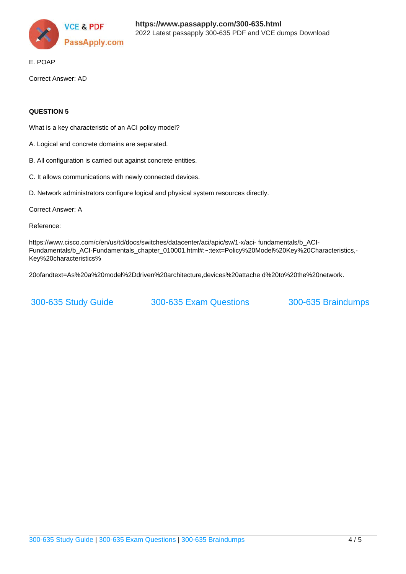

E. POAP

Correct Answer: AD

### **QUESTION 5**

What is a key characteristic of an ACI policy model?

- A. Logical and concrete domains are separated.
- B. All configuration is carried out against concrete entities.
- C. It allows communications with newly connected devices.

D. Network administrators configure logical and physical system resources directly.

Correct Answer: A

Reference:

https://www.cisco.com/c/en/us/td/docs/switches/datacenter/aci/apic/sw/1-x/aci- fundamentals/b\_ACI-Fundamentals/b\_ACI-Fundamentals\_chapter\_010001.html#:~:text=Policy%20Model%20Key%20Characteristics.-Key%20characteristics%

20ofandtext=As%20a%20model%2Ddriven%20architecture,devices%20attache d%20to%20the%20network.

[300-635 Study Guide](https://www.passapply.com/300-635.html) [300-635 Exam Questions](https://www.passapply.com/300-635.html) [300-635 Braindumps](https://www.passapply.com/300-635.html)